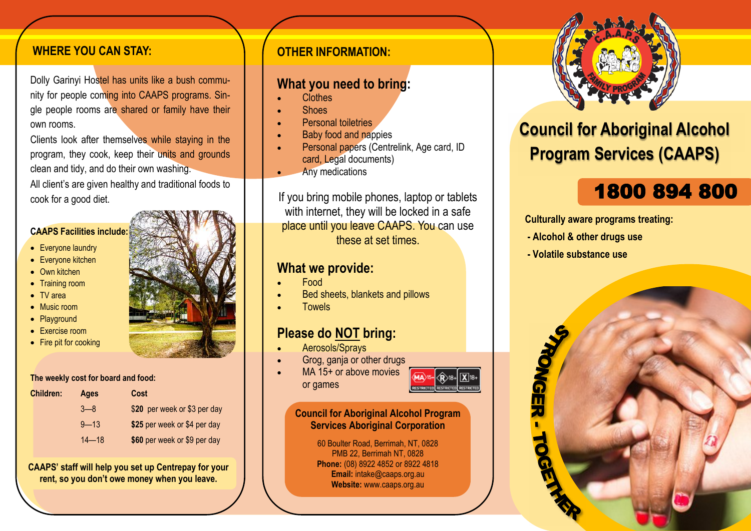### **WHERE YOU CAN STAY:**

Dolly Garinyi Hostel has units like a bush community for people coming into CAAPS programs. Single people rooms are shared or family have their own rooms.

Clients look after themselves while staying in the program, they cook, keep their units and grounds clean and tidy, and do their own washing. All client's are given healthy and traditional foods to cook for a good diet.

### **CAAPS Facilities include:**

- Everyone laundry
- Everyone kitchen
- Own kitchen
- Training room
- TV area
- Music room
- Playground
- Exercise room
- Fire pit for cooking

#### **The weekly cost for board and food:**

| <b>Children:</b> | <b>Ages</b> | Cost                         |
|------------------|-------------|------------------------------|
|                  | $3 - 8$     | \$20 per week or \$3 per day |
|                  | $9 - 13$    | \$25 per week or \$4 per day |
|                  | $14 - 18$   | \$60 per week or \$9 per day |

**CAAPS' staff will help you set up Centrepay for your rent, so you don't owe money when you leave.**

### **OTHER INFORMATION:**

# **What you need to bring:**

- Clothes
- Shoes
- **Personal toiletries**
- Baby food and nappies
- Personal papers (Centrelink, Age card, ID card, Legal documents)
- Any medications

If you bring mobile phones, laptop or tablets with internet, they will be locked in a safe place until you leave CAAPS. You can use these at set times.

# **What we provide:**

- Food
- Bed sheets, blankets and pillows
- **Towels**

# **Please do NOT bring:**

- Aerosols/Sprays
- Grog, ganja or other drugs
- MA 15+ or above movies or games



### **Council for Aboriginal Alcohol Program Services Aboriginal Corporation**

60 Boulter Road, Berrimah, NT, 0828 PMB 22, Berrimah NT, 0828 **Phone:** (08) 8922 4852 or 8922 4818 **Email:** intake@caaps.org.au **Website:** www.caaps.org.au



# **Council for Aboriginal Alcohol Program Services (CAAPS)**

# 1800 894 800

**Culturally aware programs treating:** 

- **Alcohol & other drugs use**
- **Volatile substance use**